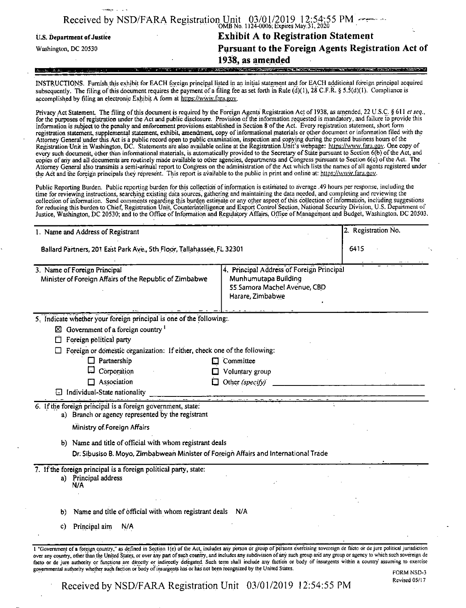|                            | Received by NSD/FARA Registration Unit $03/01/2019$ 12:54:55 PM                               |
|----------------------------|-----------------------------------------------------------------------------------------------|
| U.S. Department of Justice | <b>Exhibit A to Registration Statement</b>                                                    |
| Washington, DC 20530       | Pursuant to the Foreign Agents Registration Act of                                            |
|                            | 1938, as amended                                                                              |
|                            | ,"我们的,你们的人,我们的人们的人,我们也不是不是,我们就会不是我 <mark>是我们的人们,你也会不是我们的人们的人们的人们</mark> 。""我们的人们的人们就会不是不是的人的人 |

INSTRUCTIONS. Furnish this exhibit for EACH foreign principal listed in an initial statement and for EACH additional foreign principal acquired subsequently. The filing of this document requires the payment of a filing fee as set forth in Rule  $(d)(1)$ , 28 C.F.R. § 5.5(d)(1). Compliance is accomplished by filing an electronic Exhibit A form at https://www.fara.gov.

Privacy Act Statement. The filing ofthis document is required by the Foreign Agents Registration Act of 1938, as amended, 22 U.S.C. § 611 *et seq.,* for the purposes ofregistration under the Act and public disclosure. Provision ofthe information requested is mandatory, and failure to provide this information is subject to the penally and enforcement provisions established in Section 8 ofthe Act. Every registration statement, short form registration statement, supplemental statement, exhibit, amendment, copy ofinformational materials or other document or information filed with the Attorney General under this Act is a public record open to public examination, inspection and copying during the posted business hours ofthe Registration Unit in Washington, DC. Statements are also available online at the Registration Unit's webpage: https://www.fara.gov. One copy of every such document, other than informational materials, is automatically provided to the Secretary of State pursuant to Section 6(b) ofthe Act, and copies ofany and all documents are routinely made available to other agencies, departments and Congress pursuant to Section 6(c) ofthe Act. The Attorney General also transmits a semi-annual report to Congress on the administration ofthe Act which lists the names of all agents registered under the Act and the foreign principals they represent. This report is available to the public in print and online at: https://www.fara.gov.

Public Reporting Burden. Public reporting burden for this collection of information is estimated to average .49 hours per response, including the time for reviewing instructions, searching existing data sources, gathering and maintaining the data needed, and completing and reviewing the collection of information. Send comments regarding this burden estimate or any other aspect of this collection of information, including suggestions for reducing this burden to Chief, Registration Unit, Counterintelligence and Export Control Section, National Security Division, U.S. Department of<br>Justice, Washington, DC 20530; and to the Office of Information and Regul

| 1. Name and Address of Registrant<br>Ballard Partners, 201 East Park Ave., 5th Floor, Tallahassee, FL 32301                                                                                                                                                                                                                                                                                                                                                                                                                                                                                                                                                                           |                       | 2. Registration No.<br>6415 |  |
|---------------------------------------------------------------------------------------------------------------------------------------------------------------------------------------------------------------------------------------------------------------------------------------------------------------------------------------------------------------------------------------------------------------------------------------------------------------------------------------------------------------------------------------------------------------------------------------------------------------------------------------------------------------------------------------|-----------------------|-----------------------------|--|
|                                                                                                                                                                                                                                                                                                                                                                                                                                                                                                                                                                                                                                                                                       |                       |                             |  |
| 5. Indicate whether your foreign principal is one of the following:                                                                                                                                                                                                                                                                                                                                                                                                                                                                                                                                                                                                                   |                       |                             |  |
| $\boxtimes$ Government of a foreign country $\frac{1}{1}$                                                                                                                                                                                                                                                                                                                                                                                                                                                                                                                                                                                                                             |                       |                             |  |
| Foreign political party<br>□                                                                                                                                                                                                                                                                                                                                                                                                                                                                                                                                                                                                                                                          |                       |                             |  |
| Foreign or domestic organization: If either, check one of the following:                                                                                                                                                                                                                                                                                                                                                                                                                                                                                                                                                                                                              |                       |                             |  |
| $\Box$ Partnership                                                                                                                                                                                                                                                                                                                                                                                                                                                                                                                                                                                                                                                                    | $\Box$ Committee      |                             |  |
| Corporation                                                                                                                                                                                                                                                                                                                                                                                                                                                                                                                                                                                                                                                                           | Voluntary group       |                             |  |
| $\Box$ Association                                                                                                                                                                                                                                                                                                                                                                                                                                                                                                                                                                                                                                                                    | Other (specify)<br>0. |                             |  |
| □ Individual-State nationality                                                                                                                                                                                                                                                                                                                                                                                                                                                                                                                                                                                                                                                        |                       |                             |  |
| 6. If the foreign principal is a foreign government, state:<br>a) Branch or agency represented by the registrant                                                                                                                                                                                                                                                                                                                                                                                                                                                                                                                                                                      |                       |                             |  |
| Ministry of Foreign Affairs                                                                                                                                                                                                                                                                                                                                                                                                                                                                                                                                                                                                                                                           |                       |                             |  |
| b) Name and title of official with whom registrant deals                                                                                                                                                                                                                                                                                                                                                                                                                                                                                                                                                                                                                              |                       |                             |  |
| Dr. Sibusiso B. Moyo, Zimbabwean Minister of Foreign Affairs and International Trade                                                                                                                                                                                                                                                                                                                                                                                                                                                                                                                                                                                                  |                       |                             |  |
| 7. If the foreign principal is a foreign political party, state:                                                                                                                                                                                                                                                                                                                                                                                                                                                                                                                                                                                                                      |                       |                             |  |
| a) Principal address<br>N/A                                                                                                                                                                                                                                                                                                                                                                                                                                                                                                                                                                                                                                                           |                       |                             |  |
| Name and title of official with whom registrant deals N/A<br>b)                                                                                                                                                                                                                                                                                                                                                                                                                                                                                                                                                                                                                       |                       |                             |  |
| Principal aim<br>N/A<br>C)                                                                                                                                                                                                                                                                                                                                                                                                                                                                                                                                                                                                                                                            |                       |                             |  |
| 1 "Government of a foreign country," as defined in Section 1(e) of the Act, includes any person or group of persons exercising sovereign de facto or de jure political jurisdiction<br>over any country, other than the United States, or over any part of such country, and includes any subdivision of any such group and any group or agency to which such sovereign de<br>facto or de jure authority or functions are directly or indirectly delegated. Such term shall include any faction or body of insurgents within a country assuming to exercise<br>governmental authority whether such faction or body of insurgents has or has not been recognized by the United States. |                       | <b>FORM NSD-3</b>           |  |

Received by NSD/FARA Registration Unit 03/01/2019 12:54:55 PM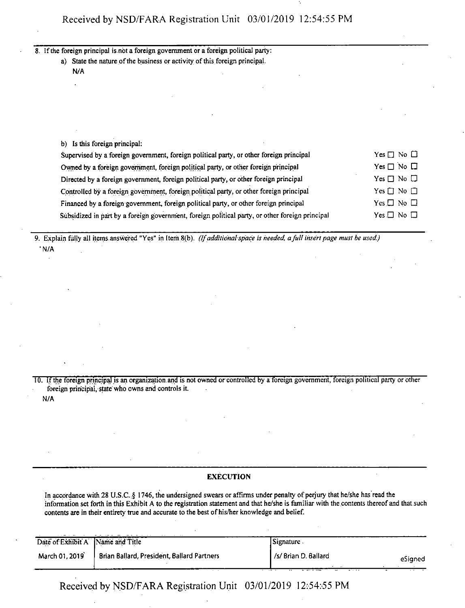8. If the foreign principal is not a foreign government or a foreign political party:

a) State the nature of the business or activity of this foreign principal. N/A

| b) Is this foreign principal:                                                                   |                            |
|-------------------------------------------------------------------------------------------------|----------------------------|
| Supervised by a foreign government, foreign political party, or other foreign principal         | Yes $\Box$ No $\Box$       |
| Owned by a foreign government, foreign political party, or other foreign principal              | Yes $\square$ No $\square$ |
| Directed by a foreign government, foreign political party, or other foreign principal           | Yes $\Box$ No $\Box$       |
| Controlled by a foreign government, foreign political party, or other foreign principal         | Yes $\Box$ No $\Box$       |
| Financed by a foreign government, foreign political party, or other foreign principal           | Yes $\Box$ No $\Box$       |
| Subsidized in part by a foreign government, foreign political party, or other foreign principal | $Yes \Box No \Box$         |

9. Explain fully all items.answered "Yes" in Item.8(b). *(Ifadditional-space is heeded, afull insert page must be used:)* • N/A

10. If the foreign principal is an organization and is not owned or controlled by a foreign government, foreign political party or other foreign principal, state who owns and controls it.

# N/A

## **EXECUTION**

In accordance with 28 U.S.C. § 1746, the undersigned swears or affirms under penalty of perjury that he/she has read the information set forth in this Exhibit A to the registration statement and that he/she is familiar with the contents thereof and that such contents are in their entirety true and accurate to the best of his/her knowledge and belief.

| Date of Exhibit A Name and Title |                                            | Signature                       |  |
|----------------------------------|--------------------------------------------|---------------------------------|--|
| March 01, 2019                   | Brian Ballard, President, Ballard Partners | /s/ Brian D. Ballard<br>eSianed |  |

Received by NSD/FARA Registration Unit 03/01/2019 12:54:55 PM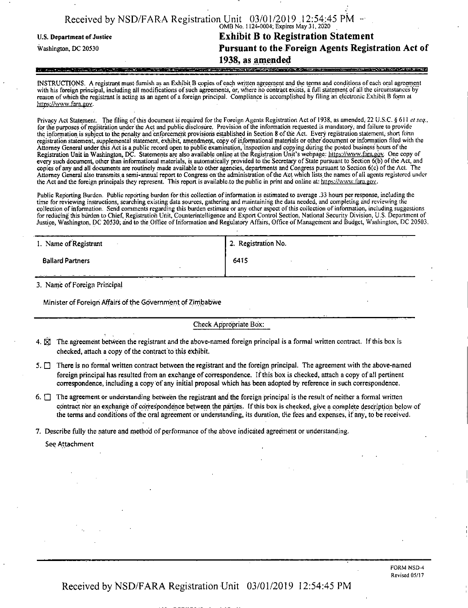|                            | Received by NSD/FARA Registration Unit $03/01/2019$ , 12:54:45 PM $\rightarrow$ 0MB No. 1124-0004; Expires May 31, 2020 |
|----------------------------|-------------------------------------------------------------------------------------------------------------------------|
| U.S. Department of Justice | <b>Exhibit B to Registration Statement</b>                                                                              |
| Washington, DC 20530       | Pursuant to the Foreign Agents Registration Act of                                                                      |
|                            | 1938, as amended                                                                                                        |
|                            |                                                                                                                         |

INSTRUCTIONS. A registrant must furnish as an Exhibit B copies ofeach written agreement and the terms and conditions of each oral agreement with his foreign principal, including all modifications ofsuch agreements, or, where ho contract exists, a full statement of all the circumstances by reason of which the registrant is acting as an agent of a foreign principal. Compliance is accomplished by filing an electronic Exhibit B form at https://wvw.fara.gov.

Privacy Act Statement. The filing of this document is required for the Foreign Agents Registration Act of 1938, as amended, 22 U.S:C. § 611 *et* seq., for the purposes of registration under the Act and public disclosure. Provision of the information requested is mandatory, and failure to provide the information is subject to the penalty and enforcement provisions established in Section 8 ofthe Act. Every registration statement, short form registration statement, supplemental statement, exhibit, amendment, copy ofinformational materials or other document or information filed with the Attorney General under this Act is a public record open to public examination, inspection and copying during the posted business hours of the Registration Unit in Washington, DC. Statements are also available online at the Registration Unit's webpage: https://www.fara.gov. One copy of<br>every such document, other than informational materials, is automatically prov copies of any and all documents are routinely made available to other agencies, departments and Congress pursuant to Section 6(c) ofthe Act. The Attorney General also transmits a semi-annual report to Congress on the administration of the Act which lists the names of all agents registered under<br>the Act and the foreign principals they represent. This report is avail

Public Reporting Burden. Public reporting burden for this collection of information is estimated to average .33 hours per response, including the time for reviewing instructions, searching existing data sources, gathering and maintaining the data needed, and completing and reviewing the collection of information. Send comments regarding this burden estimate or any other aspect of this collection of information, including suggestions for reducing this burden to Chief, Registration Unit, Counterintelligence and Export Control Section, National Security Division, U.S. Department of<br>Justice, Washington, DC 20530; and to the Office of Information and Regul

| 1. Name of Registrant            | 2. Registration No. |
|----------------------------------|---------------------|
| <b>Ballard Partners</b>          | 6415                |
| 2. Mauric of Davidson Department |                     |

3. Name of Foreign Principal

Minister of Foreign Affairs of the Government of Zimbabwe

Check Appropriate Box:

- 4.  $\overline{X}$  The agreement between the registrant and the above-named foreign principal is a formal written contract. If this box is checked, attach a copy of the contract to this exhibit.
- 5.  $\Box$  There is no formal written contract between the registrant and the foreign principal. The agreement with the above-named foreign principal has resulted from an exchange of correspondence. If this box is checked, attach a copy of all pertinent correspondence, including a copy of any initial proposal which has been adopted by reference in such correspondence.
- 6.  $\Box$  The agreement or understanding between the registrant and the foreign principal is the result of neither a formal written contract nor an exchange of correspondence between the parties. If this box is checked, give a complete description below of the terms and conditions ofthe oral agreement or understanding, its duration, the fees and expenses, if any, to be received.

7. Describe fully the nature and method of performance of the above indicated agreement or understanding.

See Attachment

FORM NSD-4 Revised 05/17

Received by NSD/FARA Registration Unit 03/01/2019 12:54:45 PM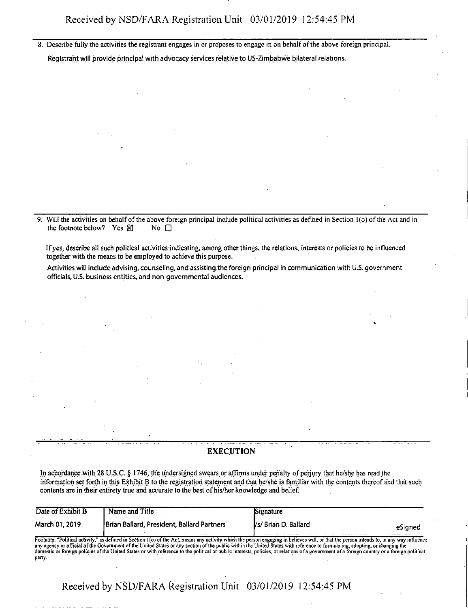8. Describe fully the activities the registrant engages in or proposes to engage in on behalfofthe above foreign principal. Registrant will provide principal with advocacy services relative to US-Zimbabwe bilateral relations.

9. Will the activities on behalfofthe above foreign principal include political activities as defined in Section l(o) ofthe Act and in the footnote below? Yes  $\boxtimes$  No  $\square$ 

Ifyes, describe all such political activities indicating, among other things, the relations, interests or policies to be influenced together with the means to be employed to achieve this purpose.

Activities will include advising, counseling, and assisting the foreign principal in communication with U.S. government officials, U;S. business entities, and non-governmental audiences.

#### EXECUTION

In accordance with 28 U.S.C. § 1746, the undersigned swears or affirms under penalty of perjury that he/she has read the information set forth in this Exhibit B to the registration statement and that he/she is familiar with the contents thereofand that such contents are in their entirety true and accurate to the best of his/her knowledge and belief.

| Date of Exhibit B | Name and Title                             | Signature                      |
|-------------------|--------------------------------------------|--------------------------------|
| March 01, 2019    | Brian Ballard, President, Ballard Partners | Vs/Brian D. Ballard<br>eSigned |
|                   |                                            |                                |

Footnote: "Political activity," as defined in Section l{o) ofthe Act, means any activity which the person engaging in believes will, or that the person intends to, in any way influence any agency or official of the Government of the United States or any section of the public within the United States with reference to formulating, adopting, or changing the domestic or foreign policies ofthe United States or with reference to the political or public interests, policies, or relations ofa government ofa foreign country ora foreign political party.

Received by NSD/FARA Registration Unit 03/01/2019 12:54:45 PM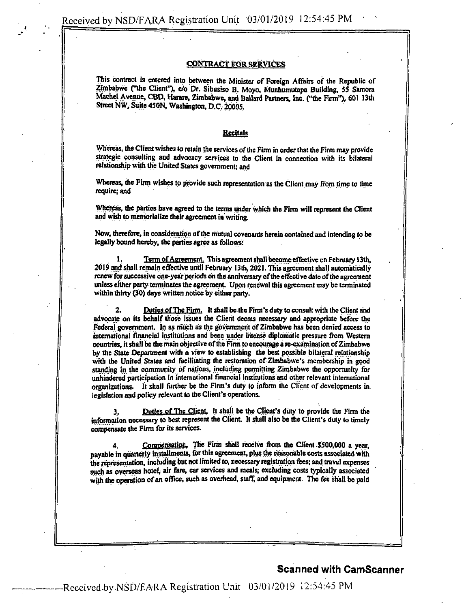#### CONTRACT FOR SERVICES

This contract is entered into between the Minister of Foreign Affairs of the Republic of Zimbabwe ("the Client"), c/o Dr. Sibusiso B. Moyo, Munhumutapa Building, 55 Samora Machel Avenue, CBD, Harare, Zimbabwe, and Ballard Partners, Inc. ("the Finn"), 601 13th Street NW, Suite 450N, Washington, D.C, 20005,

#### **Recitals**

Whereas, the Client wishes to retain the services of the Firm in order that the Firm may provide strategic consulting and advocacy services to the Client in connection with its bilateral relationship with the United States government; and

Whereas, the Firm wishes to provide such representation as the Client may from time to time require; and

Whereas, die parties have agreed to the terms under which the Firm will represent the Client and wish to memorialize their agreement in writing.

Now, therefore, in consideration of the mutual covenants herein contained and intending to be legally bound hereby, the parties agree as follows:

Term of Agreement. This agreement shall become effective on February 13th, 2019 and shall remain effective until February 13th, 2021. This agreement shall automatically renew for successive one-year periods on the anniversary of the effective date of the agreement unless either party terminates the agreement. Upon renewal this agreement may be terminated within thirty (30) days written notice by either party.

2. DutiesofThe Firm. It shall be the Firm's duty to consult with the Client and advocate on its behalf those issues the Client deems necessary and appropriate before the Federal government. In as much as the government of Zimbabwe has been denied access to international financial institutions and been under intense diplomatic pressure from Western countries, it shall be the main objective of the Firm to encourage a re-examination of Zimbabwe by die State Department with a view to establishing the best possible bilateral relationship with the United States and facilitating the restoration of Zimbabwe's membership in good standing in the community of nations, including permitting Zimbabwe the opportunity for unhindered participation in international financial institutions and other relevant international organizations. It shall further be the Firm's duty to inform the Client of developments in legislation and policy relevant to the Client's operations.

3. Duties of The Client, It shall be the Client's duty to provide the Firm the information necessary to best represent the Client. It shall also be the Client's duty to timely compensate the Firm for its services.

4. Compensation. The Firm shall receive from the Client \$500,000 a year, payable in quarterly installments, forthis agreement, plus the reasonable costs associated with the representation, including but not limited to, necessary registration fees; and travel expenses such as overseas hotel, air fare, car services and meals, excluding costs typically associated with the operation of an office, such as overhead, staff, and equipment. The fee shall be paid

### Scanned with CamScanner

—Reeeived-byNSD/RARA Registration Unit. 03/01/2019 12:54:45 PM